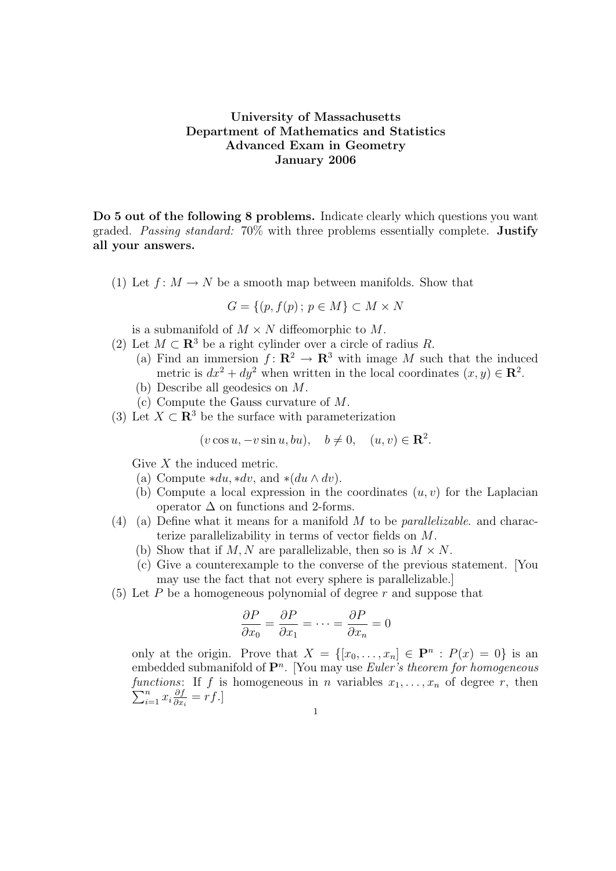## University of Massachusetts Department of Mathematics and Statistics Advanced Exam in Geometry January 2006

Do 5 out of the following 8 problems. Indicate clearly which questions you want graded. Passing standard: 70% with three problems essentially complete. Justify all your answers.

(1) Let  $f: M \to N$  be a smooth map between manifolds. Show that

$$
G = \{(p, f(p); p \in M\} \subset M \times N
$$

is a submanifold of  $M \times N$  diffeomorphic to M.

- (2) Let  $M \subset \mathbb{R}^3$  be a right cylinder over a circle of radius R. (a) Find an immersion  $f: \mathbb{R}^2 \to \mathbb{R}^3$  with image M such that the induced metric is  $dx^2 + dy^2$  when written in the local coordinates  $(x, y) \in \mathbb{R}^2$ .
	- (b) Describe all geodesics on M.
	- (c) Compute the Gauss curvature of M.
- (3) Let  $X \subset \mathbb{R}^3$  be the surface with parameterization

$$
(v\cos u, -v\sin u, bu), \quad b \neq 0, \quad (u, v) \in \mathbf{R}^2.
$$

Give X the induced metric.

- (a) Compute  $*du, *dv$ , and  $*(du \wedge dv)$ .
- (b) Compute a local expression in the coordinates  $(u, v)$  for the Laplacian operator  $\Delta$  on functions and 2-forms.
- (4) (a) Define what it means for a manifold  $M$  to be *parallelizable*. and characterize parallelizability in terms of vector fields on M.
	- (b) Show that if M, N are parallelizable, then so is  $M \times N$ .
	- (c) Give a counterexample to the converse of the previous statement. [You may use the fact that not every sphere is parallelizable.]
- (5) Let P be a homogeneous polynomial of degree  $r$  and suppose that

$$
\frac{\partial P}{\partial x_0} = \frac{\partial P}{\partial x_1} = \dots = \frac{\partial P}{\partial x_n} = 0
$$

only at the origin. Prove that  $X = \{ [x_0, \ldots, x_n] \in \mathbf{P}^n : P(x) = 0 \}$  is an embedded submanifold of  $\mathbf{P}^n$ . [You may use *Euler's theorem for homogeneous* functions: If f is homogeneous in n variables  $x_1, \ldots, x_n$  of degree r, then  $\sum_{i=1}^n x_i \frac{\partial f}{\partial x}$  $\frac{\partial f}{\partial x_i} = rf.$